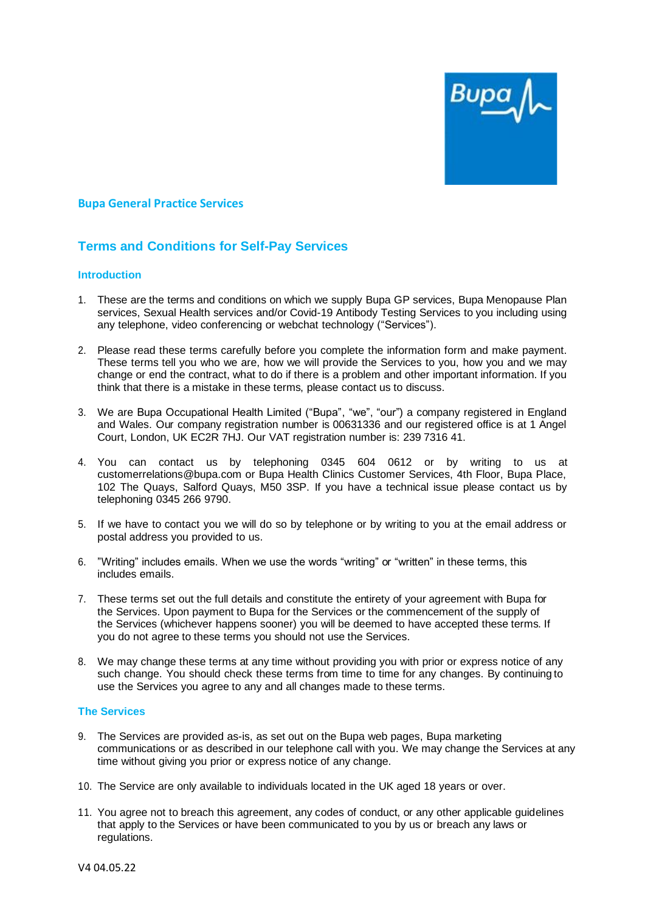

## **Bupa General Practice Services**

# **Terms and Conditions for Self-Pay Services**

#### **Introduction**

- 1. These are the terms and conditions on which we supply Bupa GP services, Bupa Menopause Plan services, Sexual Health services and/or Covid-19 Antibody Testing Services to you including using any telephone, video conferencing or webchat technology ("Services").
- 2. Please read these terms carefully before you complete the information form and make payment. These terms tell you who we are, how we will provide the Services to you, how you and we may change or end the contract, what to do if there is a problem and other important information. If you think that there is a mistake in these terms, please contact us to discuss.
- 3. We are Bupa Occupational Health Limited ("Bupa", "we", "our") a company registered in England and Wales. Our company registration number is 00631336 and our registered office is at 1 Angel Court, London, UK EC2R 7HJ. Our VAT registration number is: 239 7316 41.
- 4. You can contact us by telephoning 0345 604 0612 or by writing to us at customerrelations@bupa.com or Bupa Health Clinics Customer Services, 4th Floor, Bupa Place, 102 The Quays, Salford Quays, M50 3SP. If you have a technical issue please contact us by telephoning 0345 266 9790.
- 5. If we have to contact you we will do so by telephone or by writing to you at the email address or postal address you provided to us.
- 6. "Writing" includes emails. When we use the words "writing" or "written" in these terms, this includes emails.
- 7. These terms set out the full details and constitute the entirety of your agreement with Bupa for the Services. Upon payment to Bupa for the Services or the commencement of the supply of the Services (whichever happens sooner) you will be deemed to have accepted these terms. If you do not agree to these terms you should not use the Services.
- 8. We may change these terms at any time without providing you with prior or express notice of any such change. You should check these terms from time to time for any changes. By continuingto use the Services you agree to any and all changes made to these terms.

#### **The Services**

- 9. The Services are provided as-is, as set out on the Bupa web pages, Bupa marketing communications or as described in our telephone call with you. We may change the Services at any time without giving you prior or express notice of any change.
- 10. The Service are only available to individuals located in the UK aged 18 years or over.
- 11. You agree not to breach this agreement, any codes of conduct, or any other applicable guidelines that apply to the Services or have been communicated to you by us or breach any laws or regulations.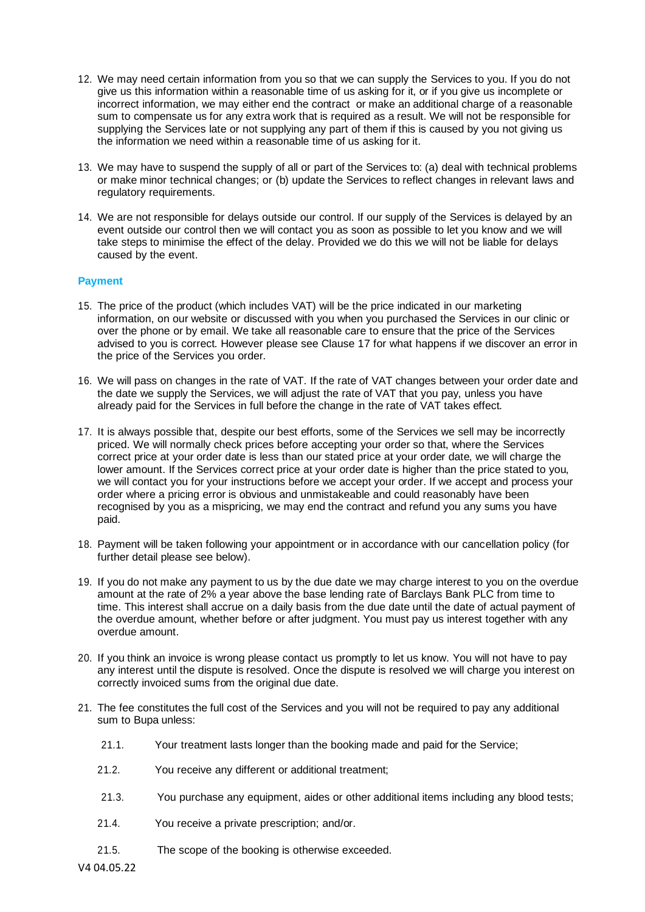- 12. We may need certain information from you so that we can supply the Services to you. If you do not give us this information within a reasonable time of us asking for it, or if you give us incomplete or incorrect information, we may either end the contract or make an additional charge of a reasonable sum to compensate us for any extra work that is required as a result. We will not be responsible for supplying the Services late or not supplying any part of them if this is caused by you not giving us the information we need within a reasonable time of us asking for it.
- 13. We may have to suspend the supply of all or part of the Services to: (a) deal with technical problems or make minor technical changes; or (b) update the Services to reflect changes in relevant laws and regulatory requirements.
- 14. We are not responsible for delays outside our control. If our supply of the Services is delayed by an event outside our control then we will contact you as soon as possible to let you know and we will take steps to minimise the effect of the delay. Provided we do this we will not be liable for delays caused by the event.

# **Payment**

- 15. The price of the product (which includes VAT) will be the price indicated in our marketing information, on our website or discussed with you when you purchased the Services in our clinic or over the phone or by email. We take all reasonable care to ensure that the price of the Services advised to you is correct. However please see Clause 17 for what happens if we discover an error in the price of the Services you order.
- 16. We will pass on changes in the rate of VAT. If the rate of VAT changes between your order date and the date we supply the Services, we will adjust the rate of VAT that you pay, unless you have already paid for the Services in full before the change in the rate of VAT takes effect.
- 17. It is always possible that, despite our best efforts, some of the Services we sell may be incorrectly priced. We will normally check prices before accepting your order so that, where the Services correct price at your order date is less than our stated price at your order date, we will charge the lower amount. If the Services correct price at your order date is higher than the price stated to you, we will contact you for your instructions before we accept your order. If we accept and process your order where a pricing error is obvious and unmistakeable and could reasonably have been recognised by you as a mispricing, we may end the contract and refund you any sums you have paid.
- 18. Payment will be taken following your appointment or in accordance with our cancellation policy (for further detail please see below).
- 19. If you do not make any payment to us by the due date we may charge interest to you on the overdue amount at the rate of 2% a year above the base lending rate of Barclays Bank PLC from time to time. This interest shall accrue on a daily basis from the due date until the date of actual payment of the overdue amount, whether before or after judgment. You must pay us interest together with any overdue amount.
- 20. If you think an invoice is wrong please contact us promptly to let us know. You will not have to pay any interest until the dispute is resolved. Once the dispute is resolved we will charge you interest on correctly invoiced sums from the original due date.
- 21. The fee constitutes the full cost of the Services and you will not be required to pay any additional sum to Bupa unless:
	- 21.1. Your treatment lasts longer than the booking made and paid for the Service;
	- 21.2. You receive any different or additional treatment;
	- 21.3. You purchase any equipment, aides or other additional items including any blood tests;
	- 21.4. You receive a private prescription; and/or.
	- 21.5. The scope of the booking is otherwise exceeded.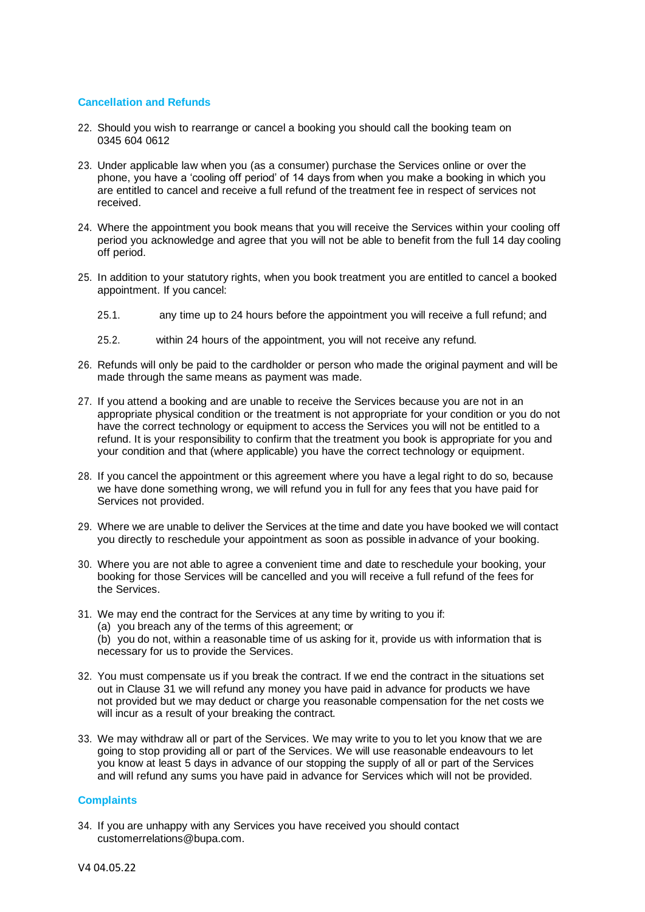## **Cancellation and Refunds**

- 22. Should you wish to rearrange or cancel a booking you should call the booking team on 0345 604 0612
- 23. Under applicable law when you (as a consumer) purchase the Services online or over the phone, you have a 'cooling off period' of 14 days from when you make a booking in which you are entitled to cancel and receive a full refund of the treatment fee in respect of services not received.
- 24. Where the appointment you book means that you will receive the Services within your cooling off period you acknowledge and agree that you will not be able to benefit from the full 14 day cooling off period.
- 25. In addition to your statutory rights, when you book treatment you are entitled to cancel a booked appointment. If you cancel:
	- 25.1. any time up to 24 hours before the appointment you will receive a full refund; and
	- 25.2. within 24 hours of the appointment, you will not receive any refund.
- 26. Refunds will only be paid to the cardholder or person who made the original payment and will be made through the same means as payment was made.
- 27. If you attend a booking and are unable to receive the Services because you are not in an appropriate physical condition or the treatment is not appropriate for your condition or you do not have the correct technology or equipment to access the Services you will not be entitled to a refund. It is your responsibility to confirm that the treatment you book is appropriate for you and your condition and that (where applicable) you have the correct technology or equipment.
- 28. If you cancel the appointment or this agreement where you have a legal right to do so, because we have done something wrong, we will refund you in full for any fees that you have paid for Services not provided.
- 29. Where we are unable to deliver the Services at the time and date you have booked we will contact you directly to reschedule your appointment as soon as possible inadvance of your booking.
- 30. Where you are not able to agree a convenient time and date to reschedule your booking, your booking for those Services will be cancelled and you will receive a full refund of the fees for the Services.
- 31. We may end the contract for the Services at any time by writing to you if:
	- (a) you breach any of the terms of this agreement; or
	- (b) you do not, within a reasonable time of us asking for it, provide us with information that is necessary for us to provide the Services.
- 32. You must compensate us if you break the contract. If we end the contract in the situations set out in Clause 31 we will refund any money you have paid in advance for products we have not provided but we may deduct or charge you reasonable compensation for the net costs we will incur as a result of your breaking the contract.
- 33. We may withdraw all or part of the Services. We may write to you to let you know that we are going to stop providing all or part of the Services. We will use reasonable endeavours to let you know at least 5 days in advance of our stopping the supply of all or part of the Services and will refund any sums you have paid in advance for Services which will not be provided.

#### **Complaints**

34. If you are unhappy with any Services you have received you should contact customerrelations@bupa.com.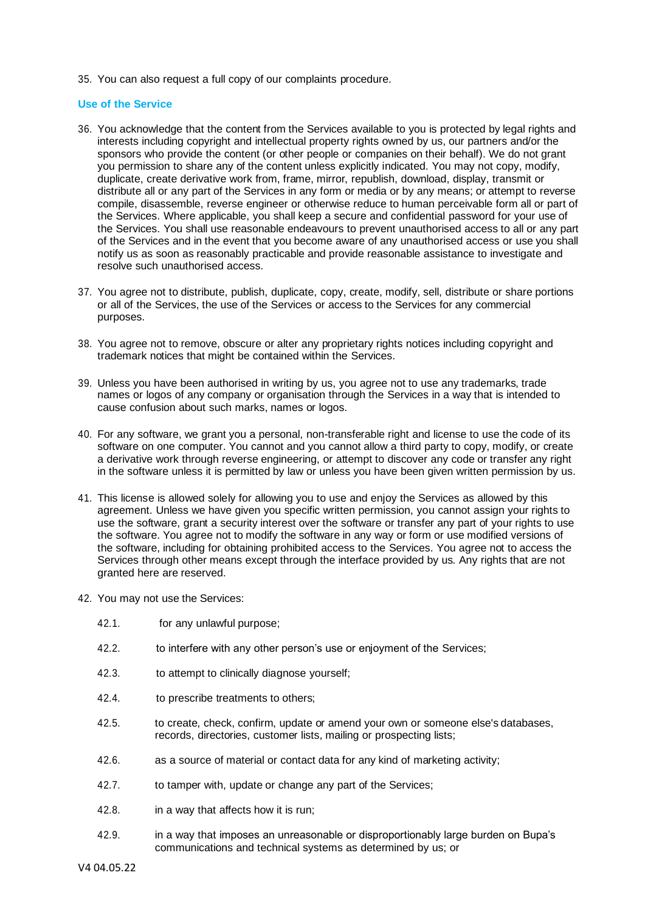35. You can also request a full copy of our complaints procedure.

#### **Use of the Service**

- 36. You acknowledge that the content from the Services available to you is protected by legal rights and interests including copyright and intellectual property rights owned by us, our partners and/or the sponsors who provide the content (or other people or companies on their behalf). We do not grant you permission to share any of the content unless explicitly indicated. You may not copy, modify, duplicate, create derivative work from, frame, mirror, republish, download, display, transmit or distribute all or any part of the Services in any form or media or by any means; or attempt to reverse compile, disassemble, reverse engineer or otherwise reduce to human perceivable form all or part of the Services. Where applicable, you shall keep a secure and confidential password for your use of the Services. You shall use reasonable endeavours to prevent unauthorised access to all or any part of the Services and in the event that you become aware of any unauthorised access or use you shall notify us as soon as reasonably practicable and provide reasonable assistance to investigate and resolve such unauthorised access.
- 37. You agree not to distribute, publish, duplicate, copy, create, modify, sell, distribute or share portions or all of the Services, the use of the Services or access to the Services for any commercial purposes.
- 38. You agree not to remove, obscure or alter any proprietary rights notices including copyright and trademark notices that might be contained within the Services.
- 39. Unless you have been authorised in writing by us, you agree not to use any trademarks, trade names or logos of any company or organisation through the Services in a way that is intended to cause confusion about such marks, names or logos.
- 40. For any software, we grant you a personal, non-transferable right and license to use the code of its software on one computer. You cannot and you cannot allow a third party to copy, modify, or create a derivative work through reverse engineering, or attempt to discover any code or transfer any right in the software unless it is permitted by law or unless you have been given written permission by us.
- 41. This license is allowed solely for allowing you to use and enjoy the Services as allowed by this agreement. Unless we have given you specific written permission, you cannot assign your rights to use the software, grant a security interest over the software or transfer any part of your rights to use the software. You agree not to modify the software in any way or form or use modified versions of the software, including for obtaining prohibited access to the Services. You agree not to access the Services through other means except through the interface provided by us. Any rights that are not granted here are reserved.
- 42. You may not use the Services:
	- 42.1. for any unlawful purpose;
	- 42.2. to interfere with any other person's use or enjoyment of the Services;
	- 42.3. to attempt to clinically diagnose yourself;
	- 42.4. to prescribe treatments to others;
	- 42.5. to create, check, confirm, update or amend your own or someone else'sdatabases, records, directories, customer lists, mailing or prospecting lists;
	- 42.6. as a source of material or contact data for any kind of marketing activity;
	- 42.7. to tamper with, update or change any part of the Services;
	- 42.8. in a way that affects how it is run;
	- 42.9. in a way that imposes an unreasonable or disproportionably large burden on Bupa's communications and technical systems as determined by us; or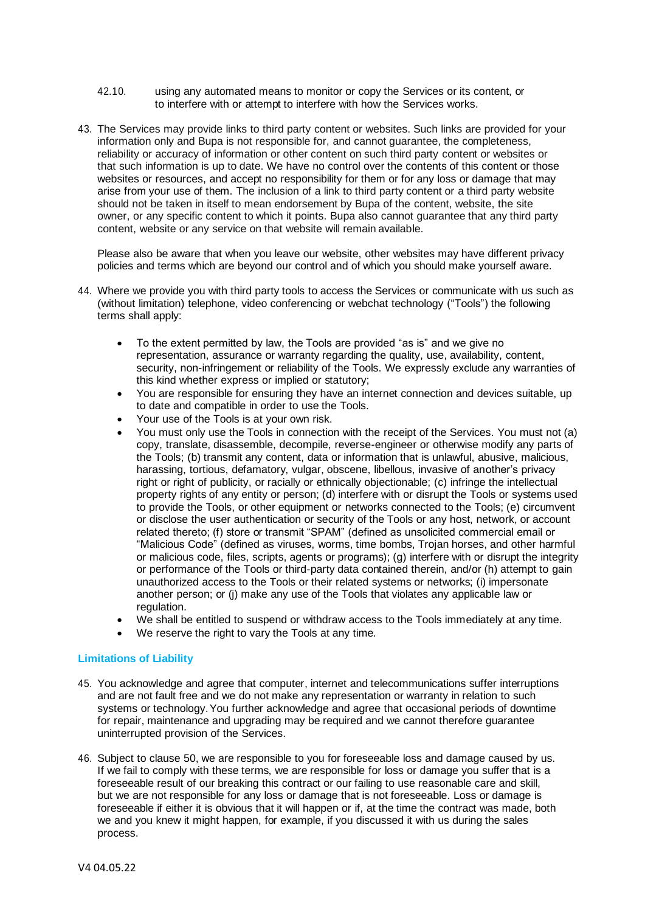- 42.10. using any automated means to monitor or copy the Services or its content, or to interfere with or attempt to interfere with how the Services works.
- 43. The Services may provide links to third party content or websites. Such links are provided for your information only and Bupa is not responsible for, and cannot guarantee, the completeness, reliability or accuracy of information or other content on such third party content or websites or that such information is up to date. We have no control over the contents of this content or those websites or resources, and accept no responsibility for them or for any loss or damage that may arise from your use of them. The inclusion of a link to third party content or a third party website should not be taken in itself to mean endorsement by Bupa of the content, website, the site owner, or any specific content to which it points. Bupa also cannot guarantee that any third party content, website or any service on that website will remain available.

Please also be aware that when you leave our website, other websites may have different privacy policies and terms which are beyond our control and of which you should make yourself aware.

- 44. Where we provide you with third party tools to access the Services or communicate with us such as (without limitation) telephone, video conferencing or webchat technology ("Tools") the following terms shall apply:
	- To the extent permitted by law, the Tools are provided "as is" and we give no representation, assurance or warranty regarding the quality, use, availability, content, security, non-infringement or reliability of the Tools. We expressly exclude any warranties of this kind whether express or implied or statutory;
	- You are responsible for ensuring they have an internet connection and devices suitable, up to date and compatible in order to use the Tools.
	- Your use of the Tools is at your own risk.
	- You must only use the Tools in connection with the receipt of the Services. You must not (a) copy, translate, disassemble, decompile, reverse-engineer or otherwise modify any parts of the Tools; (b) transmit any content, data or information that is unlawful, abusive, malicious, harassing, tortious, defamatory, vulgar, obscene, libellous, invasive of another's privacy right or right of publicity, or racially or ethnically objectionable; (c) infringe the intellectual property rights of any entity or person; (d) interfere with or disrupt the Tools or systems used to provide the Tools, or other equipment or networks connected to the Tools; (e) circumvent or disclose the user authentication or security of the Tools or any host, network, or account related thereto; (f) store or transmit "SPAM" (defined as unsolicited commercial email or "Malicious Code" (defined as viruses, worms, time bombs, Trojan horses, and other harmful or malicious code, files, scripts, agents or programs); (g) interfere with or disrupt the integrity or performance of the Tools or third-party data contained therein, and/or (h) attempt to gain unauthorized access to the Tools or their related systems or networks; (i) impersonate another person; or (j) make any use of the Tools that violates any applicable law or regulation.
	- We shall be entitled to suspend or withdraw access to the Tools immediately at any time.
	- We reserve the right to vary the Tools at any time.

#### **Limitations of Liability**

- 45. You acknowledge and agree that computer, internet and telecommunications suffer interruptions and are not fault free and we do not make any representation or warranty in relation to such systems or technology.You further acknowledge and agree that occasional periods of downtime for repair, maintenance and upgrading may be required and we cannot therefore guarantee uninterrupted provision of the Services.
- 46. Subject to clause 50, we are responsible to you for foreseeable loss and damage caused by us. If we fail to comply with these terms, we are responsible for loss or damage you suffer that is a foreseeable result of our breaking this contract or our failing to use reasonable care and skill, but we are not responsible for any loss or damage that is not foreseeable. Loss or damage is foreseeable if either it is obvious that it will happen or if, at the time the contract was made, both we and you knew it might happen, for example, if you discussed it with us during the sales process.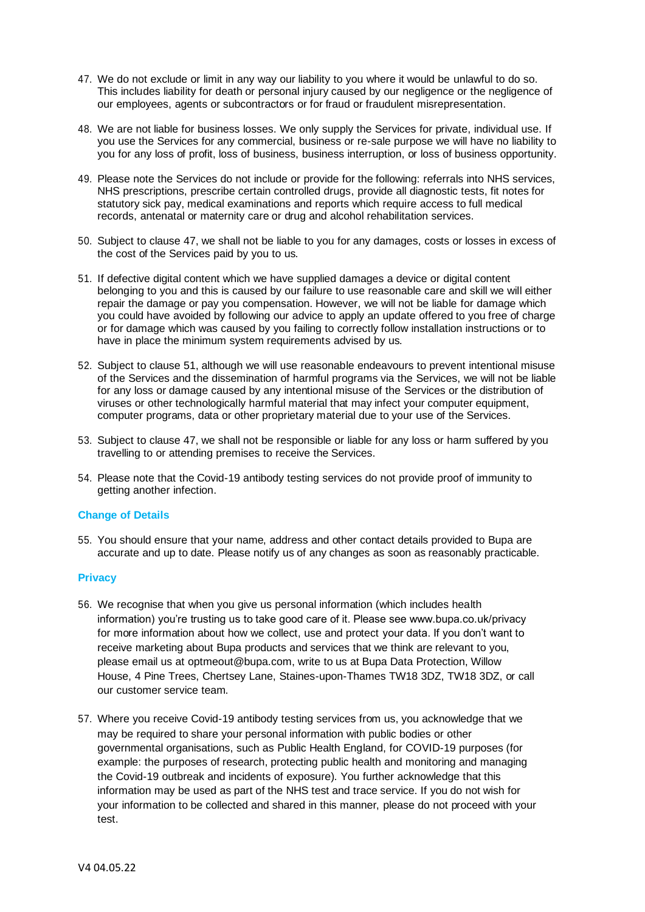- 47. We do not exclude or limit in any way our liability to you where it would be unlawful to do so. This includes liability for death or personal injury caused by our negligence or the negligence of our employees, agents or subcontractors or for fraud or fraudulent misrepresentation.
- 48. We are not liable for business losses. We only supply the Services for private, individual use. If you use the Services for any commercial, business or re-sale purpose we will have no liability to you for any loss of profit, loss of business, business interruption, or loss of business opportunity.
- 49. Please note the Services do not include or provide for the following: referrals into NHS services, NHS prescriptions, prescribe certain controlled drugs, provide all diagnostic tests, fit notes for statutory sick pay, medical examinations and reports which require access to full medical records, antenatal or maternity care or drug and alcohol rehabilitation services.
- 50. Subject to clause 47, we shall not be liable to you for any damages, costs or losses in excess of the cost of the Services paid by you to us.
- 51. If defective digital content which we have supplied damages a device or digital content belonging to you and this is caused by our failure to use reasonable care and skill we will either repair the damage or pay you compensation. However, we will not be liable for damage which you could have avoided by following our advice to apply an update offered to you free of charge or for damage which was caused by you failing to correctly follow installation instructions or to have in place the minimum system requirements advised by us.
- 52. Subject to clause 51, although we will use reasonable endeavours to prevent intentional misuse of the Services and the dissemination of harmful programs via the Services, we will not be liable for any loss or damage caused by any intentional misuse of the Services or the distribution of viruses or other technologically harmful material that may infect your computer equipment, computer programs, data or other proprietary material due to your use of the Services.
- 53. Subject to clause 47, we shall not be responsible or liable for any loss or harm suffered by you travelling to or attending premises to receive the Services.
- 54. Please note that the Covid-19 antibody testing services do not provide proof of immunity to getting another infection.

#### **Change of Details**

55. You should ensure that your name, address and other contact details provided to Bupa are accurate and up to date. Please notify us of any changes as soon as reasonably practicable.

#### **Privacy**

- 56. We recognise that when you give us personal information (which includes health information) you're trusting us to take good care of it. Please see www.bupa.co.uk/privacy for more information about how we collect, use and protect your data. If you don't want to receive marketing about Bupa products and services that we think are relevant to you, please email us at optmeout@bupa.com, write to us at Bupa Data Protection, Willow House, 4 Pine Trees, Chertsey Lane, Staines-upon-Thames TW18 3DZ, TW18 3DZ, or call our customer service team.
- 57. Where you receive Covid-19 antibody testing services from us, you acknowledge that we may be required to share your personal information with public bodies or other governmental organisations, such as Public Health England, for COVID-19 purposes (for example: the purposes of research, protecting public health and monitoring and managing the Covid-19 outbreak and incidents of exposure). You further acknowledge that this information may be used as part of the NHS test and trace service. If you do not wish for your information to be collected and shared in this manner, please do not proceed with your test.